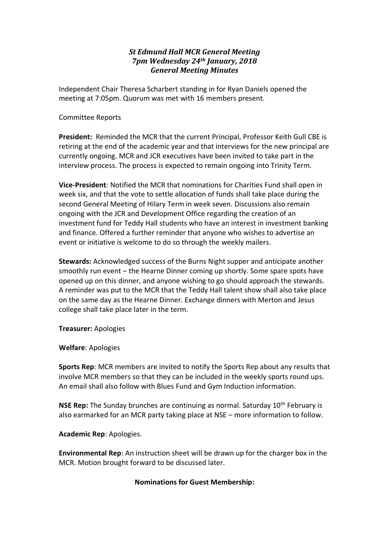# *St Edmund Hall MCR General Meeting 7pm Wednesday 24th January, 2018 General Meeting Minutes*

Independent Chair Theresa Scharbert standing in for Ryan Daniels opened the meeting at 7:05pm. Quorum was met with 16 members present.

#### Committee Reports

**President:** Reminded the MCR that the current Principal, Professor Keith Gull CBE is retiring at the end of the academic year and that interviews for the new principal are currently ongoing. MCR and JCR executives have been invited to take part in the interview process. The process is expected to remain ongoing into Trinity Term.

**Vice-President**: Notified the MCR that nominations for Charities Fund shall open in week six, and that the vote to settle allocation of funds shall take place during the second General Meeting of Hilary Term in week seven. Discussions also remain ongoing with the JCR and Development Office regarding the creation of an investment fund for Teddy Hall students who have an interest in investment banking and finance. Offered a further reminder that anyone who wishes to advertise an event or initiative is welcome to do so through the weekly mailers.

**Stewards:** Acknowledged success of the Burns Night supper and anticipate another smoothly run event – the Hearne Dinner coming up shortly. Some spare spots have opened up on this dinner, and anyone wishing to go should approach the stewards. A reminder was put to the MCR that the Teddy Hall talent show shall also take place on the same day as the Hearne Dinner. Exchange dinners with Merton and Jesus college shall take place later in the term.

**Treasurer:** Apologies

**Welfare**: Apologies

**Sports Rep**: MCR members are invited to notify the Sports Rep about any results that involve MCR members so that they can be included in the weekly sports round ups. An email shall also follow with Blues Fund and Gym Induction information.

**NSE Rep:** The Sunday brunches are continuing as normal. Saturday 10th February is also earmarked for an MCR party taking place at NSE – more information to follow.

# **Academic Rep**: Apologies.

**Environmental Rep**: An instruction sheet will be drawn up for the charger box in the MCR. Motion brought forward to be discussed later.

# **Nominations for Guest Membership:**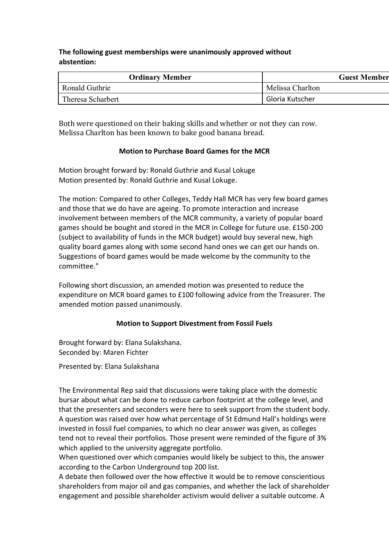# **The following guest memberships were unanimously approved without abstention:**

| <b>Ordinary Member</b> | <b>Guest Member</b> |
|------------------------|---------------------|
| Ronald Guthrie         | Melissa Charlton    |
| Theresa Scharbert      | Gloria Kutscher     |

Both were questioned on their baking skills and whether or not they can row. Melissa Charlton has been known to bake good banana bread.

# **Motion to Purchase Board Games for the MCR**

Motion brought forward by: Ronald Guthrie and Kusal Lokuge Motion presented by: Ronald Guthrie and Kusal Lokuge.

The motion: Compared to other Colleges, Teddy Hall MCR has very few board games and those that we do have are ageing. To promote interaction and increase involvement between members of the MCR community, a variety of popular board games should be bought and stored in the MCR in College for future use. £150-200 (subject to availability of funds in the MCR budget) would buy several new, high quality board games along with some second hand ones we can get our hands on. Suggestions of board games would be made welcome by the community to the committee."

Following short discussion, an amended motion was presented to reduce the expenditure on MCR board games to £100 following advice from the Treasurer. The amended motion passed unanimously.

# **Motion to Support Divestment from Fossil Fuels**

Brought forward by: Elana Sulakshana. Seconded by: Maren Fichter

Presented by: Elana Sulakshana

The Environmental Rep said that discussions were taking place with the domestic bursar about what can be done to reduce carbon footprint at the college level, and that the presenters and seconders were here to seek support from the student body. A question was raised over how what percentage of St Edmund Hall's holdings were invested in fossil fuel companies, to which no clear answer was given, as colleges tend not to reveal their portfolios. Those present were reminded of the figure of 3% which applied to the university aggregate portfolio.

When questioned over which companies would likely be subject to this, the answer according to the Carbon Underground top 200 list.

A debate then followed over the how effective it would be to remove conscientious shareholders from major oil and gas companies, and whether the lack of shareholder engagement and possible shareholder activism would deliver a suitable outcome. A